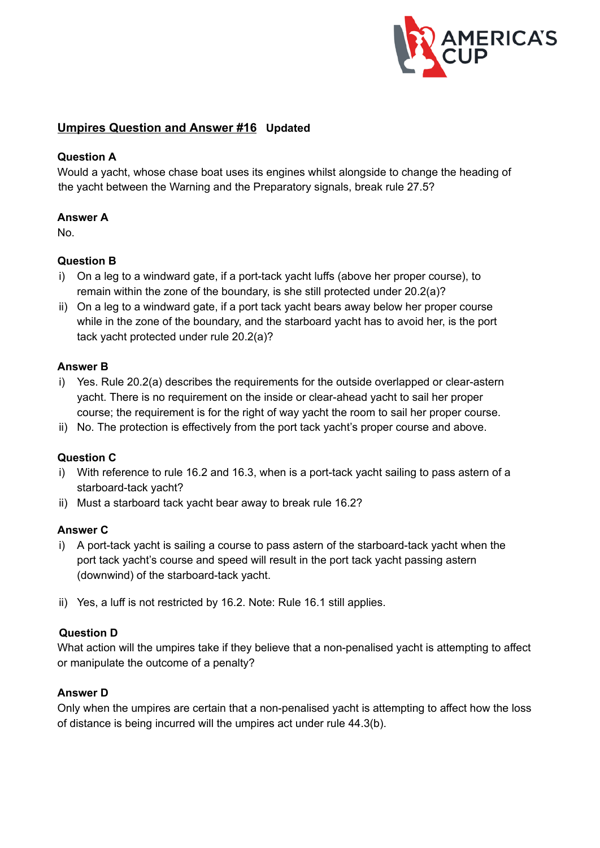

# **Umpires Question and Answer #16 Updated**

## **Question A**

Would a yacht, whose chase boat uses its engines whilst alongside to change the heading of the yacht between the Warning and the Preparatory signals, break rule 27.5?

### **Answer A**

No.

## **Question B**

- i) On a leg to a windward gate, if a port-tack yacht luffs (above her proper course), to remain within the zone of the boundary, is she still protected under 20.2(a)?
- ii) On a leg to a windward gate, if a port tack yacht bears away below her proper course while in the zone of the boundary, and the starboard yacht has to avoid her, is the port tack yacht protected under rule 20.2(a)?

### **Answer B**

- i) Yes. Rule 20.2(a) describes the requirements for the outside overlapped or clear-astern yacht. There is no requirement on the inside or clearahead yacht to sail her proper course; the requirement is for the right of way yacht the room to sail her proper course.
- ii) No. The protection is effectively from the port tack yacht's proper course and above.

### **Question C**

- i) With reference to rule 16.2 and 16.3, when is a port-tack yacht sailing to pass astern of a starboard-tack yacht?
- ii) Must a starboard tack yacht bear away to break rule 16.2?

### **Answer C**

- i) A port-tack yacht is sailing a course to pass astern of the starboard-tack yacht when the port tack yacht's course and speed will result in the port tack yacht passing astern (downwind) of the starboard-tack yacht.
- ii) Yes, a luff is not restricted by 16.2. Note: Rule 16.1 still applies.

### **Question D**

What action will the umpires take if they believe that a non-penalised yacht is attempting to affect or manipulate the outcome of a penalty?

### **Answer D**

Only when the umpires are certain that a non-penalised yacht is attempting to affect how the loss of distance is being incurred will the umpires act under rule 44.3(b).